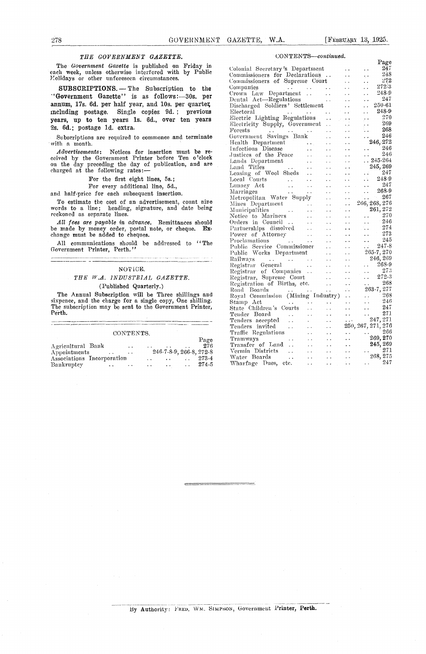## *THE GOVERNMENT GAZETTE. CONTENTS—continued.*

## THE W.A. INDUSTRIAL GAZETTE.

### (Published Quarterly.)

|                                                          |       | T CHILCLO<br>111 V 20 C U | $\cdots$             | the company's company's company's | the contract of the contract of |                 |          |               |
|----------------------------------------------------------|-------|---------------------------|----------------------|-----------------------------------|---------------------------------|-----------------|----------|---------------|
| CONTENTS.                                                |       | Traffic Regulations       |                      | $\cdots$                          |                                 |                 |          | 266           |
|                                                          | Page  | Tramways                  | $\ddot{\phantom{1}}$ | $\sim$ $\sim$                     |                                 |                 | 269, 270 |               |
| Agricultural Bank<br>$\ddot{\phantom{0}}$                | 276   | Transfer of Land          |                      |                                   |                                 | $\sim$ $\sim$   | 245, 269 |               |
| 246-7-8-9, 266-8, 272-8<br>Appointments<br>$\sim$ $\sim$ |       | Vermin Districts          |                      |                                   |                                 |                 |          | $^{\circ}271$ |
| Associations Incorporation                               | 273-4 | Water Boards              |                      | $\ddotsc$                         |                                 | $\cdot$ $\cdot$ | 268, 275 |               |
| Bankruptey                                               | 274-5 | Wharfage Dues,            | etc.                 | the company of the company of the |                                 |                 |          | 247           |
| $\ddot{\phantom{0}}$                                     |       |                           |                      |                                   |                                 |                 |          |               |

| 278                                                                                                                                                                                                             | GOVERNMENT GAZETTE, W.A.<br>[FEBRUARY 13, 1925.]                                                                                                                                                                                                                                                                                                                                                                                                                                                                                                                                                                                                                                                                                               |                                                                                   |  |  |  |  |  |  |  |
|-----------------------------------------------------------------------------------------------------------------------------------------------------------------------------------------------------------------|------------------------------------------------------------------------------------------------------------------------------------------------------------------------------------------------------------------------------------------------------------------------------------------------------------------------------------------------------------------------------------------------------------------------------------------------------------------------------------------------------------------------------------------------------------------------------------------------------------------------------------------------------------------------------------------------------------------------------------------------|-----------------------------------------------------------------------------------|--|--|--|--|--|--|--|
| THE GOVERNMENT GAZETTE.                                                                                                                                                                                         | CONTENTS-continued.                                                                                                                                                                                                                                                                                                                                                                                                                                                                                                                                                                                                                                                                                                                            |                                                                                   |  |  |  |  |  |  |  |
| The Government Gazette is published on Friday in<br>each week, unless otherwise interfered with by Public<br>Lolidays or other unforeseen circumstances.                                                        | Colonial Secretary's Department<br>$\sim 10$<br>Commissioners for Declarations<br><b>Contract</b><br>$\sim$ $\sim$<br>Commissioners of Supreme Court<br>$\sim 10^{-1}$<br>$\ddot{\phantom{0}}$                                                                                                                                                                                                                                                                                                                                                                                                                                                                                                                                                 | Page<br>247<br>248<br>272                                                         |  |  |  |  |  |  |  |
| SUBSCRIPTIONS. - The Subscription to the<br>"Government Gazette" is as follows:-30s. per<br>annum, 17s. 6d. per half year, and 10s. per quarter,                                                                | Companies<br>المنفقات الفعال الفقاع المناد<br>$\sim 10^{-1}$<br>$\sim$ $\sim$<br>Crown Law Department<br>$\sim 10^{-1}$<br>$\ddot{\phantom{0}}$ .<br>Dental Act—Regulations<br>$\sim$ 100 $\sim$<br>$\sim 10$<br>Discharged Soldiers' Settlement<br>$\ddot{\phantom{a}}$<br>$\ddotsc$                                                                                                                                                                                                                                                                                                                                                                                                                                                          | 272:3<br>$248-9$<br>247<br>250-61                                                 |  |  |  |  |  |  |  |
| including postage. Single copies 9d.; previous<br>years, up to ten years 1s. 6d., over ten years<br>2s. 6d.; postage 1d. extra.                                                                                 | $\mathcal{L}^{\mathcal{L}}(\mathcal{L}^{\mathcal{L}}(\mathcal{L}^{\mathcal{L}}(\mathcal{L}^{\mathcal{L}}(\mathcal{L}^{\mathcal{L}}(\mathcal{L}^{\mathcal{L}}(\mathcal{L}^{\mathcal{L}}(\mathcal{L}^{\mathcal{L}}(\mathcal{L}^{\mathcal{L}}(\mathcal{L}^{\mathcal{L}}(\mathcal{L}^{\mathcal{L}}(\mathcal{L}^{\mathcal{L}}(\mathcal{L}^{\mathcal{L}}(\mathcal{L}^{\mathcal{L}}(\mathcal{L}^{\mathcal{L}}(\mathcal{L}^{\mathcal{L}}(\mathcal{L}^{\mathcal{L$<br>Electoral<br>$\mathcal{L}(\mathcal{L}^{\mathcal{L}})$<br>$\ddot{\phantom{a}}$<br>Electric Lighting Regulations<br>$\sim$ $\sim$<br>Electricity Supply, Government<br>$\mathcal{L}_{\text{eff}}$<br>$\sim$ $\sim$<br>$\rm Forests$<br>المتدان فتكار وقبال وفوا<br>V.<br>$\sim 100$ | 248-9<br>270<br>269<br>268                                                        |  |  |  |  |  |  |  |
| Subscriptions are required to commence and terminate<br>with a month.                                                                                                                                           | Government Savings Bank<br>$\sim$ $\sim$<br>$\sim$ $\sim$ $\sim$                                                                                                                                                                                                                                                                                                                                                                                                                                                                                                                                                                                                                                                                               | 246<br>246,272                                                                    |  |  |  |  |  |  |  |
| <i>Advertisements</i> : Notices for insertion must be re-<br>ceived by the Government Printer before Ten o'clock<br>on the day preceding the day of publication, and are<br>charged at the following rates:-    | $\mathbf{1}$ , $\mathbf{1}$ , $\mathbf{1}$<br>$\sim$ 10 $\mu$<br>Justices of the Peace<br>$\sim$ $\sim$<br>$\ddot{\phantom{0}}$<br>$\ddotsc$                                                                                                                                                                                                                                                                                                                                                                                                                                                                                                                                                                                                   | 246<br>246<br>$.245-264$<br>245, 269                                              |  |  |  |  |  |  |  |
| For the first eight lines, 5s.;<br>For every additional line, 5d.,<br>and half-price for each subsequent insertion.                                                                                             | $\mathcal{L}(\mathcal{L})$<br>$\sim$ $\sim$<br>$\sim 10^7$<br>$\mathcal{L}(\mathcal{C})$<br>$\sim 10^{-10}$ m $^{-1}$<br>Local Come<br>Lunacy Act<br>Comply<br><b>Contractor</b><br><b>Contract Contract</b><br>$\sim$ $\sim$<br>A.<br>$\Delta$ and $\Delta$<br>$\epsilon$ .                                                                                                                                                                                                                                                                                                                                                                                                                                                                   | 247<br>248-9<br>247<br>268-9                                                      |  |  |  |  |  |  |  |
| To estimate the cost of an advertisement, count nive<br>words to a line; heading, signature, and date being<br>reckoned as separate lines.                                                                      | Metropolitan Water Supply<br>Mines Department<br>$\sim$ $\sim$<br>266, 268, 276<br><b>Contract Contract</b><br>$\sim 10^7$<br>261, 272<br><b>Carlos</b><br><b>Carlo Co</b><br>$\sim 10^{-1}$<br>Municipalities<br>Notice to Mariners<br>Orders in Council<br>$\sim 10^{-10}$<br>$\ddotsc$                                                                                                                                                                                                                                                                                                                                                                                                                                                      | $\ldots$ 267<br>$\begin{array}{ccc} \ldots & & 270 \\ \ldots & & 246 \end{array}$ |  |  |  |  |  |  |  |
| All fees are payable in advance. Remittances should<br>be made by money order, postal note, or cheque. Ex-<br>change must be added to cheques.                                                                  | <b>Contract Contract</b><br>$\sim$ $\sim$<br>$\sim$ $\sim$<br>Partnerships dissolved<br><b>Carlos Contractor</b><br>$\sim 10^{11}$ km s $^{-1}$<br>$\ddot{\phantom{0}}$<br>Power of Attorney<br><b>Carl Corp.</b><br>$\sim 10^{-1}$<br>$\sim 10^{-1}$<br>$\sim$ $\sim$<br>$\sim 10^{-1}$                                                                                                                                                                                                                                                                                                                                                                                                                                                       | 274<br>$-273$<br>-245                                                             |  |  |  |  |  |  |  |
| All communications should be addressed to "The<br>Government Printer, Perth."                                                                                                                                   | Proclamations<br>Public Service Commissioner<br>$\begin{array}{r} 247-8 \ 265-7 , 270 \ 246 , 269 \ 268-9 \end{array}$<br>$\ddotsc$<br>Public Works Department<br>Railways<br>Registrar General<br>$\sim 10^{-10}$<br>$\sim 100$ km $^{-1}$                                                                                                                                                                                                                                                                                                                                                                                                                                                                                                    |                                                                                   |  |  |  |  |  |  |  |
| NOTICE.<br>THE W.A. INDUSTRIAL GAZETTE.                                                                                                                                                                         | Registrar of Companies<br>$\sim 10^{-11}$<br>Registrar, Supreme Court<br>$\sim$<br>$\sim$ $\sim$<br>Registration of Births, etc.                                                                                                                                                                                                                                                                                                                                                                                                                                                                                                                                                                                                               | $-273$<br>272-3<br>268                                                            |  |  |  |  |  |  |  |
| (Published Quarterly.)<br>The Annual Subscription will be Three shillings and<br>sixpence, and the charge for a single copy, One shilling.<br>The subscription may be sent to the Government Printer,<br>Perth. | $\ddotsc$<br>$\sim$ $\sim$<br>$\ddotsc$<br>Road Boards<br>И.<br>$\sim 100$<br>$\sim 100$ k $^{-1}$<br>Royal Commission (Mining Industry)<br>$\ddot{\phantom{1}}$<br>Stamp Act<br>$\sim$ $\sim$<br>$\ddot{\phantom{0}}$<br>$\ddot{\phantom{a}}$<br>State Children's Courts<br>$\sim$ $\sim$<br>$\ddot{\phantom{0}}$<br>$\ddot{\phantom{1}}$ .<br>÷.<br>Tender Board<br>$\sim$ $\sim$<br>$\mathbf{1}$<br>$\ddotsc$<br>Tenders accepted<br>$\sim$<br>$\sim 10^{-11}$<br>$\ddot{\phantom{a}}$<br>$\epsilon \rightarrow 0$                                                                                                                                                                                                                          | 263-7, 277<br>268<br>246<br>247<br>271<br>247, 271                                |  |  |  |  |  |  |  |
| CONTENTS.<br>Agricultural Bank<br>$\ddot{\phantom{1}}$ .<br>246-7-8-9, 266-8, 272-8<br>Appointments<br>$\sim$ $\sim$<br>$\sim$ $\sim$                                                                           | 250, 267, 271, 276<br>Tenders invited<br>$\mathbf{r}$ , $\mathbf{r}$<br>$\mathcal{L}(\mathcal{A})$<br>$\sim 10^{-1}$<br>Traffic Regulations<br>$\mathcal{L}(\mathbf{r})$<br>$\sim$ $\sim$<br>$\sim$ $\sim$<br>$\sim$ $\sim$<br>Tramways<br>$\ddotsc$<br>$\sim$ $\star$<br>$\ddot{\phantom{1}}$<br>Page<br>Transfer of Land<br>$\mathcal{L}(\mathcal{L})$<br>$\ddot{\phantom{a}}$<br>276<br>$\ddot{\phantom{1}}$ .<br>Vermin Districts<br><b>Contract Contract</b><br>$\mathbf{r}$ , $\mathbf{r}$<br>$\ddot{\phantom{0}}$<br>$\ddot{\phantom{0}}$                                                                                                                                                                                               | 266<br>269, 270<br>245, 269<br>271                                                |  |  |  |  |  |  |  |
| Associations Incorporation<br>$\overline{1}$ .<br>$\sim$ $\sim$<br>$\mathcal{L}_{\mathcal{A}}$                                                                                                                  | $\sim 10$<br>Water Boards<br>$\mathbf{1}$ , $\mathbf{1}$<br>$\ddot{\phantom{a}}$<br>$\ddotsc$<br>273-4<br>Whorfogs Dugo ata                                                                                                                                                                                                                                                                                                                                                                                                                                                                                                                                                                                                                    | 268, 275<br>947                                                                   |  |  |  |  |  |  |  |

Authority: FRED. WM, SIMPSON, Government Printer, Perth.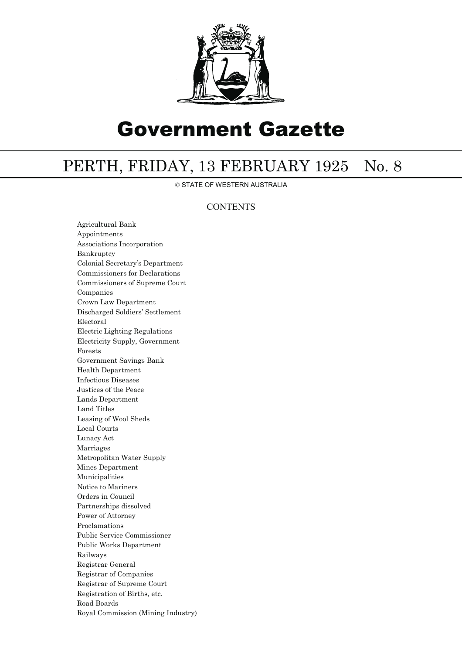

# Government Gazette

## PERTH, FRIDAY, 13 FEBRUARY 1925 No. 8

© STATE OF WESTERN AUSTRALIA

## **CONTENTS**

Agricultural Bank Appointments Associations Incorporation Bankruptcy Colonial Secretary's Department Commissioners for Declarations Commissioners of Supreme Court Companies Crown Law Department Discharged Soldiers' Settlement Electoral Electric Lighting Regulations Electricity Supply, Government Forests Government Savings Bank Health Department Infectious Diseases Justices of the Peace Lands Department Land Titles Leasing of Wool Sheds Local Courts Lunacy Act Marriages Metropolitan Water Supply Mines Department Municipalities Notice to Mariners Orders in Council Partnerships dissolved Power of Attorney Proclamations Public Service Commissioner Public Works Department Railways Registrar General Registrar of Companies Registrar of Supreme Court Registration of Births, etc. Road Boards Royal Commission (Mining Industry)